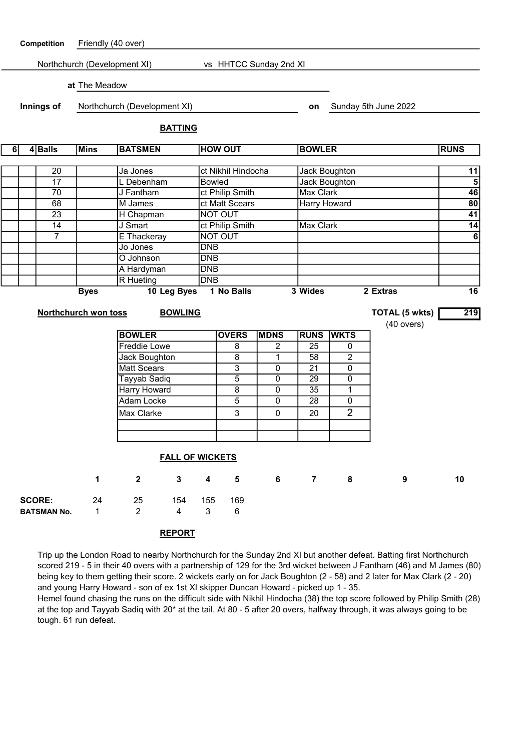

Trip up the London Road to nearby Northchurch for the Sunday 2nd XI but another defeat. Batting first Northchurch scored 219 - 5 in their 40 overs with a partnership of 129 for the 3rd wicket between J Fantham (46) and M James (80) being key to them getting their score. 2 wickets early on for Jack Boughton (2 - 58) and 2 later for Max Clark (2 - 20) and young Harry Howard - son of ex 1st XI skipper Duncan Howard - picked up 1 - 35.

Hemel found chasing the runs on the difficult side with Nikhil Hindocha (38) the top score followed by Philip Smith (28) at the top and Tayyab Sadiq with 20\* at the tail. At 80 - 5 after 20 overs, halfway through, it was always going to be tough. 61 run defeat.